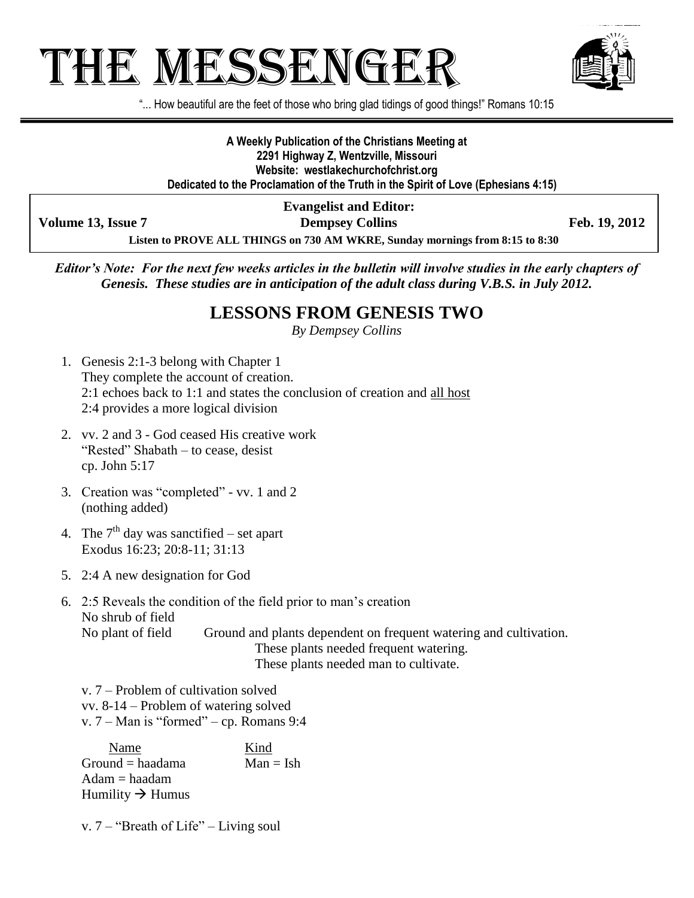# THE MESSENGE!



"... How beautiful are the feet of those who bring glad tidings of good things!" Romans 10:15

**A Weekly Publication of the Christians Meeting at 2291 Highway Z, Wentzville, Missouri Website: westlakechurchofchrist.org Dedicated to the Proclamation of the Truth in the Spirit of Love (Ephesians 4:15)**

**Volume 13, Issue 7 Dempsey Collins Feb. 19, 2012**

**Evangelist and Editor:**

**Listen to PROVE ALL THINGS on 730 AM WKRE, Sunday mornings from 8:15 to 8:30**

*Editor's Note: For the next few weeks articles in the bulletin will involve studies in the early chapters of Genesis. These studies are in anticipation of the adult class during V.B.S. in July 2012.*

#### **LESSONS FROM GENESIS TWO**

*By Dempsey Collins*

- 1. Genesis 2:1-3 belong with Chapter 1 They complete the account of creation. 2:1 echoes back to 1:1 and states the conclusion of creation and all host 2:4 provides a more logical division
- 2. vv. 2 and 3 God ceased His creative work "Rested" Shabath – to cease, desist cp. John 5:17
- 3. Creation was "completed" vv. 1 and 2 (nothing added)
- 4. The  $7<sup>th</sup>$  day was sanctified set apart Exodus 16:23; 20:8-11; 31:13
- 5. 2:4 A new designation for God
- 6. 2:5 Reveals the condition of the field prior to man's creation No shrub of field No plant of field Ground and plants dependent on frequent watering and cultivation. These plants needed frequent watering. These plants needed man to cultivate.

v. 7 – Problem of cultivation solved vv. 8-14 – Problem of watering solved v. 7 – Man is "formed" – cp. Romans 9:4

Name Kind  $Ground = haadama$  Man = Ish Adam = haadam Humility  $\rightarrow$  Humus

v. 7 – "Breath of Life" – Living soul